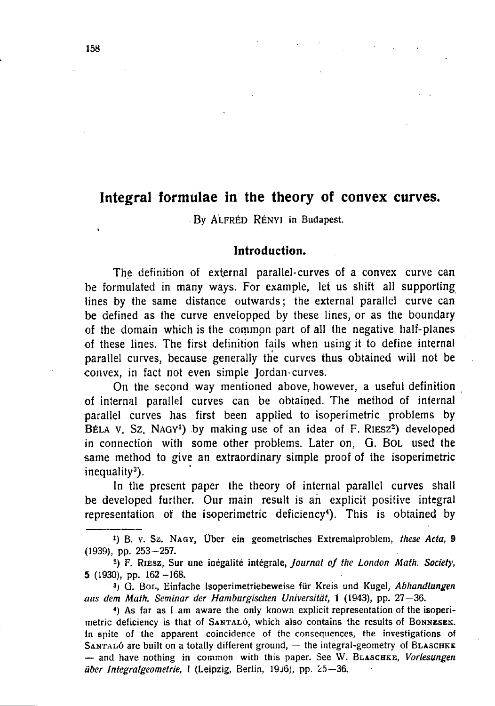# **Integral formulae in the theory of convex curves.**

**By ALFRÉD RÉNYI in Budapest.** 

### **Introduction.**

**The definition of external parallel-curves of a convex curve can be formulated in many ways. For example, let us shift all supporting lines by the same distance outwards; the external parallel curve can be defined as the curve envelopped by these lines, or as the boundary of the domain which is the common part of all the negative half-planes of these lines. The first definition fails when using it to define internal parallel curves, because generally the curves thus obtained will not be convex, in fact not even simple Jordan-curves.** 

**On the second way mentioned above, however, a useful definition of internal parallel curves can be obtained. The method of internal parallel curves has first been applied to isoperimetric problems by**  BÉLA V. SZ. NAGY<sup>1</sup>) by making use of an idea of F. RIESZ<sup>2</sup>) developed **in connection with some other problems. Later on,** G. BOL **used the same method to give an extraordinary simple proof of the isoperimetric inequality<sup>3</sup> ).** 

**In the present paper the theory of internal parallel curves shail be developed further. Our main result is ah explicit positive integral representation of the isoperimetric deficiency<sup>4</sup> ). This is obtained by** 

I) B. v. Sz. NAGY, Über ein geometrisches Extremalproblem, *these Acta,* 9 <1939), pp. 253-257.

S ) F. RIESZ, Sur une inégalité intégrale, *Journal of the London Math. Society,*  5 (1930), pp. 162 -168.

3 ) G. BOL, Einfache Isoperimetriebeweise für Kreis und Kugel, *Abhandlungen aus dem Math. Seminar der Hamburgischen Universität,* 1 (1943), pp. 27—36.

4 ) As far as I am aware the only known explicit representation of the isoperimetric deficiency is that of SANTALÓ, which also contains the results of BONNESEK. In spite of the apparent coincidence of the consequences, the investigations of SANTALÓ are built on a totally different ground, - the integral-geometry of BLASCHKE — and have nothing in common with this paper. See W. BLASCHKE, *Vorlesungen über Integralgeometrie, 1* (Leipzig, Berlin, 19J6), pp. 25—36.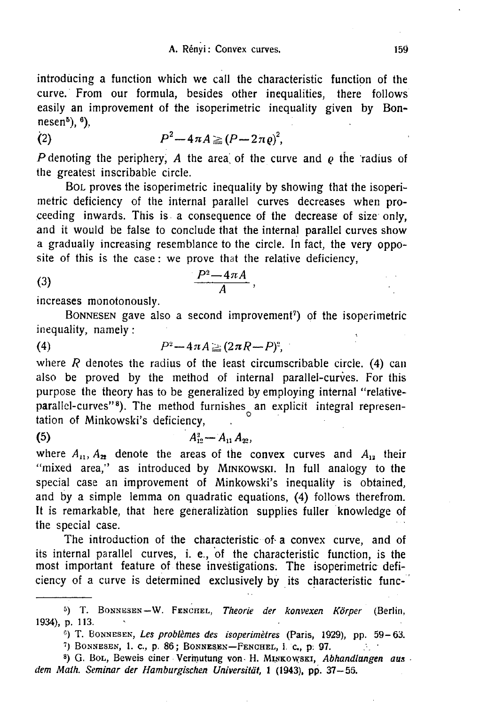**introducing a function which we call the characteristic function of the curve. From our formula, besides other inequalities, there follows easily an improvement of the isoperimetric inequality given by Bonnesen<sup>5</sup> ), <sup>6</sup>),** 

$$
(2) \hspace{1cm} P^2 - 4\pi A \geq (P - 2\pi \varrho)^2,
$$

P denoting the periphery, A the area of the curve and  $\rho$  the radius of **the greatest inscribable circle.** 

BOL **proves the isoperimetric inequality by showing that the isoperimetric deficiency of the internal parallel curves decreases when proceeding inwards. This is a consequence of the decrease of size only, and it would be false to conclude that the internal parallel curves show a gradually increasing resemblance to the circle. In fact, the very opposite of this is the case: we prove that the relative deficiency,** 

$$
\frac{P^2-4\pi A}{A},
$$

**increases monotonously.** 

BONNESEN **gave also a second improvement<sup>7</sup> ) of the isoperimetric inequality, namely:** 

(4) 
$$
P^2 - 4\pi A \geq (2\pi R - P)^2,
$$

**where R denotes the radius of the least circumscribable circle. (4) can also be proved by the method of internal parallel-curves. For this purpose the theory has to be generalized by employing internal "relativeparallel-curves"<sup>8</sup> ). The method furnishes an explicit integral representation of Minkowski's deficiency,** 

# (5)  $A_{12}^2 - A_{11}A_{22}$ ,

where  $A_{11}$ ,  $A_{22}$  denote the areas of the convex curves and  $A_{12}$  their **"mixed area," as introduced by** MINKOWSKI**. In full analogy to the special case an improvement of Minkowski's inequality is obtained, and by a simple lemma on quadratic equations, (4) follows therefrom. It is remarkable, that here generalization supplies fuller knowledge of the special case.** 

**The introduction of the characteristic of-a convex curve, and of its internal parallel curves, i. e., of the characteristic function, is the most important feature of these investigations. The isoperimetric deficiency of a curve is determined exclusively by its characteristic func-**

c ) T. BONNESEN, *Les problèmes des isoperimètres* (Paris, 1929), pp. 59-63.

8 ) G . BOL, Beweis einer Vermutung von- H . MINKOWSKI, *Abhandlungen aus dem Math. Seminar der Hamburgischen Universität,* 1 (1943), pp. 37—55.

<sup>5</sup> ) T . BONNESEN—W . FENCHEL, *Theorie der konvexen Körper* (Berlin, 1934), p. 113.

<sup>7</sup> ) BONNESEN, 1. c. , p . 86 ; BONNESEN—FENCHEL, 1. c. , p . 97.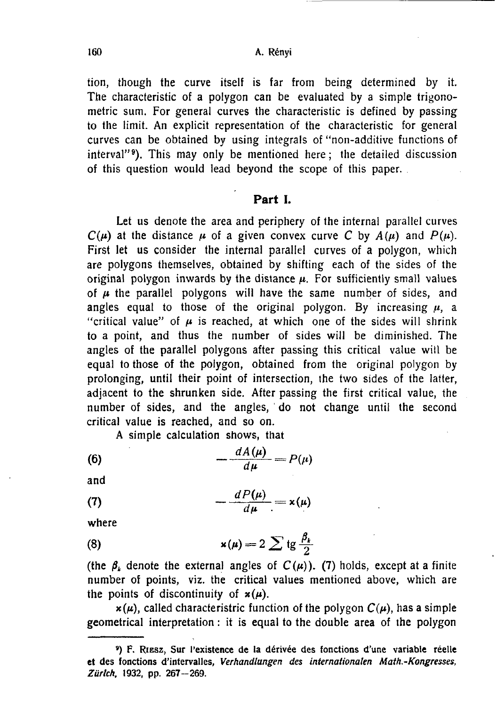160 A. Rényi

**tion, though the curve itself is far from being determined by it. The characteristic of a polygon can be evaluated by a simple trigonometric sum. For general curves the characteristic is defined by passing to the limit. An explicit representation of the characteristic for general curves can be obtained by using integrals of "non-additive functions of interval"<sup>9</sup> ). This may only be mentioned here; the detailed discussion of this question would lead beyond the scope of this paper.** 

### **Part I.**

**Let us denote the area and periphery of the internal parallel curves**   $C(\mu)$  at the distance  $\mu$  of a given convex curve C by  $A(\mu)$  and  $P(\mu)$ . **First let us consider the internal parallel curves of a polygon, which are polygons themselves, obtained by shifting each of the sides of the original polygon inwards by the distance**  $\mu$ **. For sufficiently small values** of  $\mu$  the parallel polygons will have the same number of sides, and angles equal to those of the original polygon. By increasing  $\mu$ , a "critical value" of  $\mu$  is reached, at which one of the sides will shrink **to a point, and thus the number of sides will be diminished. The angles of the parallel polygons after passing this critical value will be equal to those of the polygon, obtained from the original polygon by prolonging, until their point of intersection, the two sides of the latter, adjacent to the shrunken side. After passing the first critical value, the number of sides, and the angles, do not change until the second critical value is reached, and so on.** 

**A simple calculation shows, that** 

$$
(6) \qquad \qquad -\frac{dA(\mu)}{d\mu} = P(\mu)
$$

and

(7) 
$$
-\frac{dP(\mu)}{d\mu} = x(\mu)
$$

where

(8) 
$$
\mathbf{x}(\mu) = 2 \sum \mathrm{tg} \frac{\beta_k}{2}
$$

(the  $\beta_k$  denote the external angles of  $C(\mu)$ ). (7) holds, except at a finite **number of points, viz. the critical values mentioned above, which are**  the points of discontinuity of  $x(\mu)$ .

 $x(\mu)$ , called characteristric function of the polygon  $C(\mu)$ , has a simple **geometrical interpretation: it is equal to the double area of the polygon** 

<sup>&#</sup>x27;) F. RIESZ, Sur l'existence de la dérivée des fonctions d'une variable réelle **et** des fonctions d'intervalles, *Verhandlungen des internationalen Math.-Kongresses, Zürich,* 1932, pp. 267-269.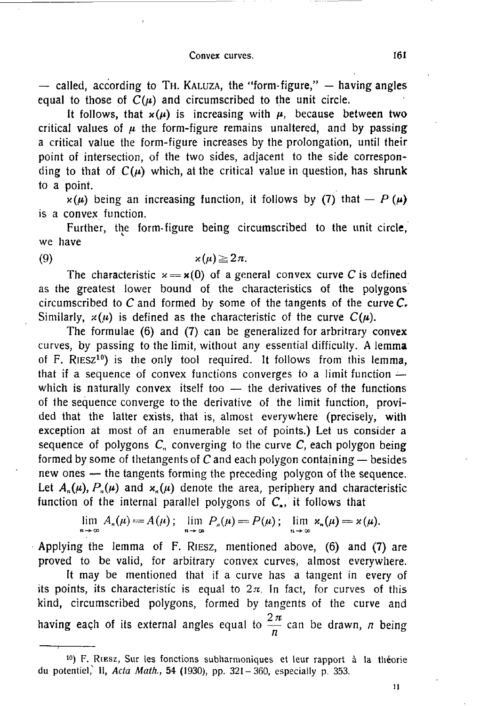#### Convex curves. **161**

 $-$  called, according to TH. KALUZA, the "form-figure,"  $-$  having angles equal to those of  $C(\mu)$  and circumscribed to the unit circle.

It follows, that  $x(\mu)$  is increasing with  $\mu$ , because between two critical values of  $\mu$  the form-figure remains unaltered, and by passing **a critical value the form-figure increases by the prolongation, until their point of intersection, of the two sides, adjacent to the side correspon**ding to that of  $C(\mu)$  which, at the critical value in question, has shrunk **to a point.** 

 $\chi(\mu)$  being an increasing function, it follows by (7) that — *P* ( $\mu$ ) **is a convex function.** 

**Further, the form-figure being circumscribed to the unit circle, we have** 

**(9)** 

$$
\varkappa(\mu)\!\geq\!2\pi.
$$

The characteristic  $x = x(0)$  of a general convex curve C is defined as the greatest lower bound of the characteristics of the polygons circumscribed to C and formed by some of the tangents of the curve  $C_{\epsilon}$ Similarly,  $x(u)$  is defined as the characteristic of the curve  $C(u)$ .

**The formulae (6) and (7) can be generalized for arbritrary convex curves, by passing to the limit, without any essential difficulty. A lemma of** F. RIESZ**<sup>10</sup>) is the only tool required. It follows from this lemma, that if a sequence of convex functions converges to a limit function which is naturally convex itself too — the derivatives of the functions of the sequence converge to the derivative of the limit function, provided that the latter exists, that is, almost everywhere (precisely, with exception at most of an enumerable set of points.) Let us consider a**  sequence of polygons  $C_n$  converging to the curve  $C_n$  each polygon being **formed by some of thetangents of C and each polygon containing — besides new ones — the tangents forming the preceding polygon of the sequence.**  Let  $A_n(\mu)$ ,  $P_n(\mu)$  and  $x_n(\mu)$  denote the area, periphery and characteristic function of the internal parallel polygons of  $C_{n}$ , it follows that

$$
\lim_{n\to\infty} A_n(\mu) = A(\mu); \quad \lim_{n\to\infty} P_n(\mu) = P(\mu); \quad \lim_{n\to\infty} x_n(\mu) = x(\mu).
$$

**Applying the lemma of** F. RIESZ**, mentioned above,** (6) **and** (7) **are proved to be valid, for arbitrary convex curves, almost everywhere.** 

**It may be mentioned that if a curve has a tangent in every of**  its points, its characteristic is equal to  $2\pi$ . In fact, for curves of this **kind, circumscribed polygons, formed by tangents of the curve and**  having each of its external angles equal to  $\frac{2\pi}{n}$  can be drawn, *n* being

<sup>10</sup>) F. RIESZ, Sur les fonctions subharmoniques et leur rapport à la théorie du potentiel," II, *Acta Math.,* **54** (1930), pp. 321-360, especially p. 353.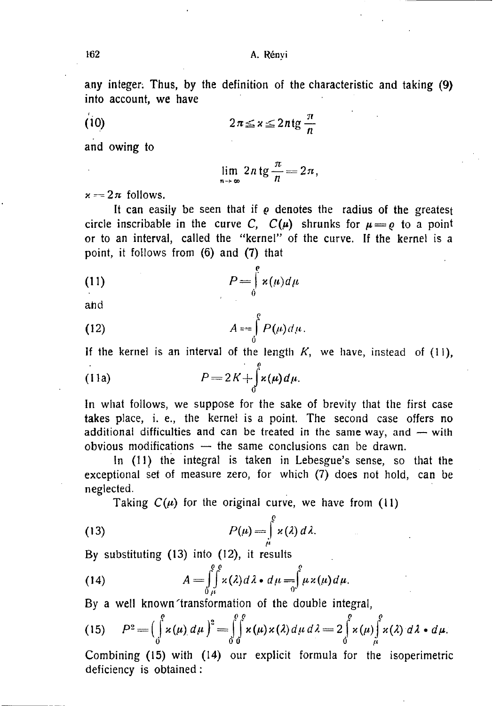**any integer; Thus, by the definition of the characteristic and taking (9) into account, we have** 

$$
(10)
$$

$$
2\pi \leq x \leq 2n \operatorname{tg} \frac{\pi}{n}
$$

**and owing to** 

$$
\lim_{n\to\infty}2n\operatorname{tg}\frac{\pi}{n}=2\pi,
$$

 $x = 2\pi$  follows.

It can easily be seen that if  $\rho$  denotes the radius of the greates<sub>t</sub> **circle inscribable in the curve** *C***,**  $C(\mu)$  **shrunks for**  $\mu = \rho$  **to a point or to an interval, called the "kernel" of the curve. If the kernel is a point, it follows from (6) and (7) that** 

(11) 
$$
P = \int_{0}^{e} \varkappa(\mu) d\mu
$$

**ahd** 

(12) 
$$
A = \int_{0}^{e} P(\mu) d\mu.
$$

**If the kernel is an interval of the length K, we have, instead of (11), p** 

(11a) 
$$
P = 2K + \int_{0}^{1} \alpha(\mu) d\mu.
$$

**In what follows, we suppose for the sake of brevity that the first case takes place, i. e., the kernel is a point. The second case offers no additional difficulties and can be treated in the same way, and — with obvious modifications — the same conclusions can be drawn.** 

**In (11) the integral is taken in Lebesgue's sense, so that the exceptional set of measure zero, for which (7) does not hold, can be neglected.** 

Taking  $C(\mu)$  for the original curve, we have from (11)

(13) 
$$
P(\mu) = \int_{\mu}^{\beta} \varkappa(\lambda) d\lambda.
$$

**By substituting (13) into (12), it results** 

(14) 
$$
A = \int_{0}^{e} \int_{\mu}^{e} \kappa(\lambda) d\lambda \cdot d\mu = \int_{0}^{e} \mu \kappa(\mu) d\mu.
$$

**By a well known'transformation of the double integral,** 

(15) 
$$
P^{2} = \left(\int_{0}^{p} x(\mu) d\mu\right)^{2} = \int_{0}^{p} \int_{0}^{p} x(\mu) x(\lambda) d\mu d\lambda = 2 \int_{0}^{p} x(\mu) \int_{\mu}^{p} x(\lambda) d\lambda \cdot d\mu.
$$

**Combining (15) with (14) our explicit formula for the isoperimetric deficiency is obtained:**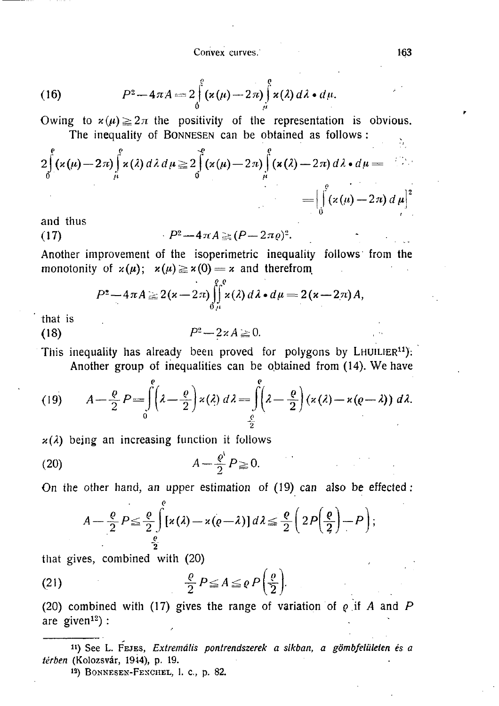Convex curves. 163

(16) 
$$
P^2 - 4\pi A = 2\int_0^g (x(\mu) - 2\pi) \int_\mu^g x(\lambda) d\lambda \cdot d\mu.
$$

 $\text{Owing}$  to  $x(\mu) \leq 2\pi$  are positivity of the representation is obvious. **The inequality of** BONNESEN **can be obtained as follows :**   $\Sigma$ 

$$
2\int_{0}^{e} (x(\mu) - 2\pi) \int_{\mu}^{e} x(\lambda) d\lambda d\mu \ge 2\int_{0}^{e} (x(\mu) - 2\pi) \int_{\mu}^{e} (x(\lambda) - 2\pi) d\lambda \cdot d\mu =
$$
  
= 
$$
\left[ \int_{0}^{e} (x(\mu) - 2\pi) d\mu \right]^{2}
$$

**and thus** 

(17) 
$$
P^2 - 4\pi A \geq (P - 2\pi \varrho)^2.
$$

**Another improvement of the isoperimetric inequality follows from the**  monotonity of  $x(\mu)$ ;  $x(\mu) \ge x(0) = x$  and therefrom

$$
P^2-4\pi A\geq 2(\varkappa-2\pi)\int\limits_{0\,\mu}^{\rho} \int\limits_{\mu}^{\rho} \varkappa(\lambda)\,d\lambda\bullet d\mu=2(\varkappa-2\pi)A,
$$

**that is** 

$$
(18) \t\t\t P2-2\times A\geq 0.
$$

This inequality has already been proved for polygons by LHUILIER<sup>11</sup>): **Another group of inequalities can be obtained from (14). We have** 

(19) 
$$
A - \frac{\rho}{2} P = \int_{0}^{\rho} \left(\lambda - \frac{\rho}{2}\right) \kappa(\lambda) d\lambda = \int_{\frac{\rho}{2}}^{\rho} \left(\lambda - \frac{\rho}{2}\right) \left(\kappa(\lambda) - \kappa(\rho - \lambda)\right) d\lambda.
$$

**y.(A) being an increasing function it follows** 

$$
(20) \t\t\t A - \frac{\varrho'}{2} P \geq 0.
$$

**On the other hand, an upper estimation of (19) can also be effected:** 

$$
A - \frac{\varrho}{2} P \leq \frac{\varrho}{2} \int_{\frac{\varrho}{2}}^{\varrho} \left[ \varkappa(\lambda) - \varkappa(\varrho - \lambda) \right] d\lambda \leq \frac{\varrho}{2} \left( 2P\left(\frac{\varrho}{2}\right) - P \right);
$$

**that gives, combined with (20)** 

(21) 
$$
\frac{\rho}{2} P \leq A \leq \rho P \left( \frac{\rho}{2} \right).
$$

**(20) combined with (17) gives the range of variation of** *Q* **if** *A* **and** *P*  **are given<sup>12</sup>) :** 

n ) See L. FEJES, *Extremális pontrendszerek a síkban, a gömbfelületen és a térben* (Kolozsvár, 1944), p. 19.

<sup>13)</sup> BONNESEN-FENCHEL, 1. c., p. 82.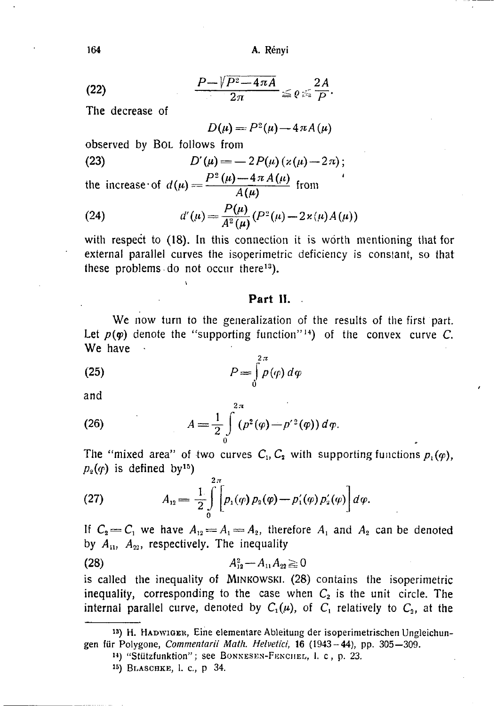**164** A. Rényi

$$
\frac{P-\sqrt{P^2-4\pi A}}{2\pi}\leq \varrho\leq \frac{2A}{P}.
$$

**The decrease of** 

$$
D(\mu) = P^2(\mu) - 4 \pi A(\mu)
$$

**observed by** BOL **follows from** 

(23) 
$$
D'(\mu) = -2P(\mu)(\kappa(\mu)-2\pi);
$$

the increase of  $d(\mu) = \frac{d(\mu)}{4(\mu)}$  from

(24) 
$$
d'(\mu) = \frac{P(\mu)}{A^2(\mu)} (P^2(\mu) - 2 \kappa(\mu) A(\mu))
$$

**with respect to (18). In this connection it is worth mentioning that for external parallel curves the isoperimetric deficiency is conslant, so that these problems do not occur there<sup>13</sup>).** 

### **Part II.**

**We now turn to the generalization of the results of the first part.**  Let  $p(\varphi)$  denote the "supporting function"<sup>14</sup>) of the convex curve C. **We have** 

(25) 
$$
P = \int_{0}^{2\pi} p(\varphi) d\varphi
$$

**and** 

(26) 
$$
A = \frac{1}{2} \int_{0}^{2\pi} (p^2(\varphi) - p'^2(\varphi)) d\varphi.
$$

The "mixed area" of two curves  $C_1$ ,  $C_2$  with supporting functions  $p_1(\varphi)$ ,  $p_2(q)$  is defined by<sup>15</sup>)

(27) 
$$
A_{12} = \frac{1}{2} \int_{0}^{2\pi} \left[ p_1(\varphi) p_2(\varphi) - p_1'(\varphi) p_2'(\varphi) \right] d\varphi.
$$

If  $C_2 = C_1$  we have  $A_{12} = A_1 = A_2$ , therefore  $A_1$  and  $A_2$  can be denoted by  $A_{11}$ ,  $A_{22}$ , respectively. The inequality

$$
(28) \t\t\t A_{12}^2 - A_{11}A_{22} \geq 0
$$

**is called the inequality of** MINKOWSKI. (28) **contains the isoperimetric inequality, corresponding to the case when**  $C_2$  **is the unit circle. The internal parallel curve, denoted by**  $C_1(\mu)$ , of  $C_1$  relatively to  $C_2$ , at the

<sup>13</sup> ) H. HADWIGBB, Eine elementare Ableitung der isoperimetrischen Ungleichungen für Polygone, *Commentarii Math. Helvetici,* 16 (1943-44), pp. 305—309 .

M ) "Stützfunktion"; see BONNESEN-FENCHEL, 1. c, p. 23.

<sup>15</sup>) BLASCHKE, 1. c., p 34.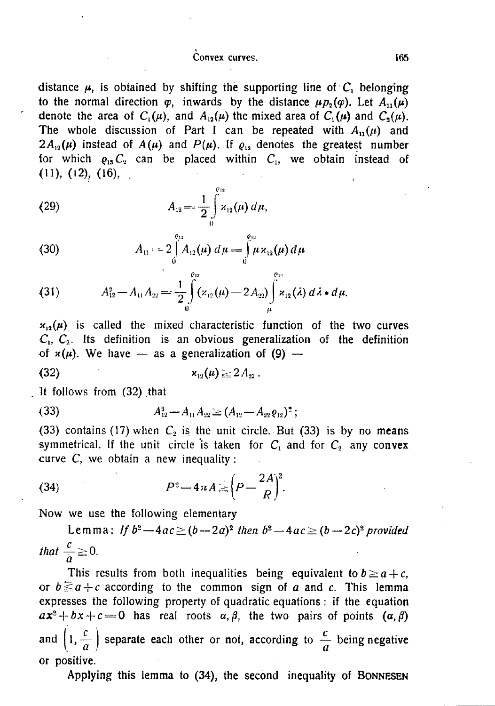#### Convex curves. 2008. The convex curves of the convex curves of the convex curves of the convex of the convex of the convex of the convex of the convex of the convex of the convex of the convex of the convex of the convex o

distance  $\mu$ , is obtained by shifting the supporting line of  $C$ <sup>*x*</sup>, belonging **to the normal direction**  $\varphi$ , inwards by the distance  $\mu p_2(\varphi)$ . Let  $A_{11}(\mu)$ **denote the area of**  $C_1(\mu)$ , and  $A_{12}(\mu)$  the mixed area of  $C_1(\mu)$  and  $C_2(\mu)$ . The whole discussion of Part I can be repeated with  $A_{11}(\mu)$  and  $2A_{12}(\mu)$  instead of  $A(\mu)$  and  $P(\mu)$ . If  $\rho_{12}$  denotes the greatest number for which  $\rho_{15} C_2$  can be placed within  $C_1$ , we obtain instead of  $(11), (12), (16),$ 

(29) 
$$
A_{12} = \frac{1}{2} \int_{0}^{\ell_{12}} x_{12}(\mu) d\mu,
$$

(30) 
$$
A_{11} = 2 \int_{0}^{\rho_{12}} A_{12}(\mu) d\mu = \int_{0}^{\rho_{12}} \mu \kappa_{12}(\mu) d\mu
$$

(31) 
$$
A_{12}^2 - A_{11}A_{22} = \frac{1}{2}\int\limits_{0}^{\theta_{12}}(x_{12}(\mu) - 2A_{22})\int\limits_{\mu}^{\theta_{12}}x_{12}(\lambda) d\lambda \cdot d\mu.
$$

 $x_{12}(\mu)$  is called the mixed characteristic function of the two curves  $C_1$ ,  $C_2$ . Its definition is an obvious generalization of the definition of  $x(\mu)$ . We have — as a generalization of (9) —

$$
x_{12}(\mu) \geq 2A_{22} \, .
$$

**It follows from (32) that** 

(33) 
$$
A_{12}^3 - A_{11}A_{22} \geq (A_{12} - A_{22}\rho_{12})^2 ;
$$

**(33) contains (17) when** *C2* **is the unit circle. But (33) is by no means**  symmetrical. If the unit circle is taken for  $C_1$  and for  $C_2$  any convex **curve C, we obtain a new inequality:** 

(34) 
$$
P^2 - 4\pi A = \left(P - \frac{2A}{R}\right)^2.
$$

**Now we use the following elementary** 

Lemma: If  $b^2 - 4ac \ge (b - 2a)^2$  then  $b^2 - 4ac \ge (b - 2c)^2$  provided *that*  $\frac{c}{a} \ge$ 

This results from both inequalities being equivalent to  $b \ge a + c$ , or  $b \le a+c$  according to the common sign of *a* and *c*. This lemma **expresses the following property of quadratic equations : if the equation**   $ax^2 + bx + c = 0$  has real roots  $\alpha, \beta$ , the two pairs of points  $(\alpha, \beta)$ and  $\left(1, \frac{c}{a}\right)$  separate each other or not, according to  $\frac{c}{a}$  being negative **or positive.** 

**Applying this lemma to** (34), **the second inequality of** BONNESEN